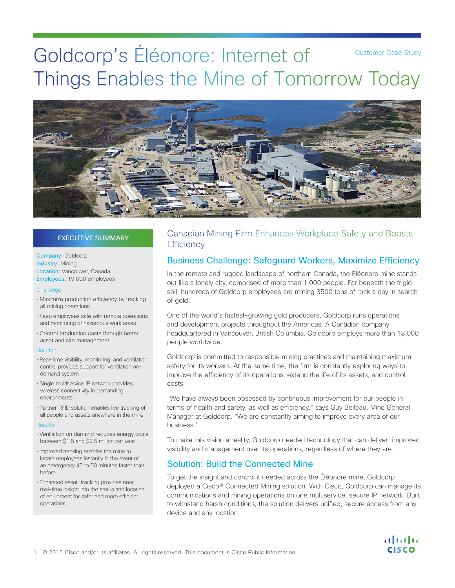# Goldcorp's Éléonore: Internet of Things Enables the Mine of Tomorrow Today Customer Case Study



# EXECUTIVE SUMMARY

Company: Goldcorp Industry: Mining Location: Vancouver, Canada Employees: 19,000 employees

#### **Challenge**

- Maximize production efficiency by tracking all mining operations
- Keep employees safe with remote operations and monitoring of hazardous work areas
- Control production costs through better asset and site management

#### Solution

- Real-time visibility, monitoring, and ventilation control provides support for ventilation ondemand system
- Single multiservice IP network provides wireless connectivity in demanding environments
- Partner RFID solution enables live tracking of all people and assets anywhere in the mine

#### **Results**

- Ventilation on demand reduces energy costs between \$1.5 and \$2.5 million per year
- Improved tracking enables the mine to locate employees instantly in the event of an emergency 45 to 50 minutes faster than before
- Enhanced asset tracking provides near real-time insight into the status and location of equipment for safer and more efficient operations

# Canadian Mining Firm Enhances Workplace Safety and Boosts **Efficiency**

# Business Challenge: Safeguard Workers, Maximize Efficiency

In the remote and rugged landscape of northern Canada, the Éléonore mine stands out like a lonely city, comprised of more than 1,000 people. Far beneath the frigid soil, hundreds of Goldcorp employees are mining 3500 tons of rock a day in search of gold.

One of the world's fastest-growing gold producers, Goldcorp runs operations and development projects throughout the Americas. A Canadian company headquartered in Vancouver, British Columbia, Goldcorp employs more than 18,000 people worldwide.

Goldcorp is committed to responsible mining practices and maintaining maximum safety for its workers. At the same time, the firm is constantly exploring ways to improve the efficiency of its operations, extend the life of its assets, and control costs.

"We have always been obsessed by continuous improvement for our people in terms of health and safety, as well as efficiency," says Guy Belleau, Mine General Manager at Goldcorp. "We are constantly aiming to improve every area of our business."

To make this vision a reality, Goldcorp needed technology that can deliver improved visibility and management over its operations, regardless of where they are.

# Solution: Build the Connected Mine

To get the insight and control it needed across the Éléonore mine, Goldcorp deployed a Cisco® Connected Mining solution. With Cisco, Goldcorp can manage its communications and mining operations on one multiservice, secure IP network. Built to withstand harsh conditions, the solution delivers unified, secure access from any device and any location.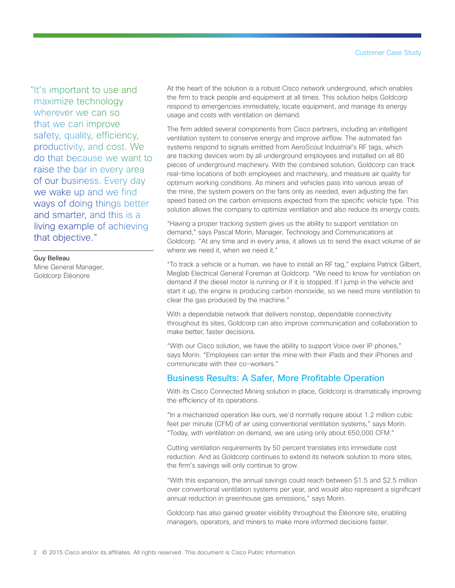"It's important to use and maximize technology wherever we can so that we can improve safety, quality, efficiency, productivity, and cost. We do that because we want to raise the bar in every area of our business. Every day we wake up and we find ways of doing things better and smarter, and this is a living example of achieving that objective."

Guy Belleau Mine General Manager, Goldcorp Éléonore

At the heart of the solution is a robust Cisco network underground, which enables the firm to track people and equipment at all times. This solution helps Goldcorp respond to emergencies immediately, locate equipment, and manage its energy usage and costs with ventilation on demand.

The firm added several components from Cisco partners, including an intelligent ventilation system to conserve energy and improve airflow. The automated fan systems respond to signals emitted from AeroScout Industrial's RF tags, which are tracking devices worn by all underground employees and installed on all 80 pieces of underground machinery. With the combined solution, Goldcorp can track real-time locations of both employees and machinery, and measure air quality for optimum working conditions. As miners and vehicles pass into various areas of the mine, the system powers on the fans only as needed, even adjusting the fan speed based on the carbon emissions expected from the specific vehicle type. This solution allows the company to optimize ventilation and also reduce its energy costs.

"Having a proper tracking system gives us the ability to support ventilation on demand," says Pascal Morin, Manager, Technology and Communications at Goldcorp. "At any time and in every area, it allows us to send the exact volume of air where we need it, when we need it."

"To track a vehicle or a human, we have to install an RF tag," explains Patrick Gilbert, Meglab Electrical General Foreman at Goldcorp. "We need to know for ventilation on demand if the diesel motor is running or if it is stopped. If I jump in the vehicle and start it up, the engine is producing carbon monoxide, so we need more ventilation to clear the gas produced by the machine."

With a dependable network that delivers nonstop, dependable connectivity throughout its sites, Goldcorp can also improve communication and collaboration to make better, faster decisions.

"With our Cisco solution, we have the ability to support Voice over IP phones," says Morin. "Employees can enter the mine with their iPads and their iPhones and communicate with their co-workers."

# Business Results: A Safer, More Profitable Operation

With its Cisco Connected Mining solution in place, Goldcorp is dramatically improving the efficiency of its operations.

"In a mechanized operation like ours, we'd normally require about 1.2 million cubic feet per minute (CFM) of air using conventional ventilation systems," says Morin. "Today, with ventilation on demand, we are using only about 650,000 CFM."

Cutting ventilation requirements by 50 percent translates into immediate cost reduction. And as Goldcorp continues to extend its network solution to more sites, the firm's savings will only continue to grow.

"With this expansion, the annual savings could reach between \$1.5 and \$2.5 million over conventional ventilation systems per year, and would also represent a significant annual reduction in greenhouse gas emissions," says Morin.

Goldcorp has also gained greater visibility throughout the Éléonore site, enabling managers, operators, and miners to make more informed decisions faster.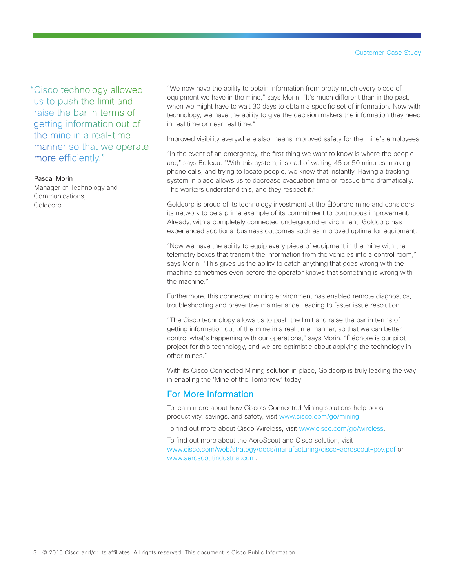"Cisco technology allowed us to push the limit and raise the bar in terms of getting information out of the mine in a real-time manner so that we operate more efficiently."

### Pascal Morin

Manager of Technology and Communications, Goldcorp

"We now have the ability to obtain information from pretty much every piece of equipment we have in the mine," says Morin. "It's much different than in the past, when we might have to wait 30 days to obtain a specific set of information. Now with technology, we have the ability to give the decision makers the information they need in real time or near real time."

Improved visibility everywhere also means improved safety for the mine's employees.

"In the event of an emergency, the first thing we want to know is where the people are," says Belleau. "With this system, instead of waiting 45 or 50 minutes, making phone calls, and trying to locate people, we know that instantly. Having a tracking system in place allows us to decrease evacuation time or rescue time dramatically. The workers understand this, and they respect it."

Goldcorp is proud of its technology investment at the Éléonore mine and considers its network to be a prime example of its commitment to continuous improvement. Already, with a completely connected underground environment, Goldcorp has experienced additional business outcomes such as improved uptime for equipment.

"Now we have the ability to equip every piece of equipment in the mine with the telemetry boxes that transmit the information from the vehicles into a control room," says Morin. "This gives us the ability to catch anything that goes wrong with the machine sometimes even before the operator knows that something is wrong with the machine."

Furthermore, this connected mining environment has enabled remote diagnostics, troubleshooting and preventive maintenance, leading to faster issue resolution.

"The Cisco technology allows us to push the limit and raise the bar in terms of getting information out of the mine in a real time manner, so that we can better control what's happening with our operations," says Morin. "Éléonore is our pilot project for this technology, and we are optimistic about applying the technology in other mines."

With its Cisco Connected Mining solution in place, Goldcorp is truly leading the way in enabling the 'Mine of the Tomorrow' today.

# For More Information

To learn more about how Cisco's Connected Mining solutions help boost productivity, savings, and safety, visit [www.cisco.com/go/mining](http://www.cisco.com/go/mining).

To find out more about Cisco Wireless, visit [www.cisco.com/go/wireless](http://www.cisco.com/go/wireless).

To find out more about the AeroScout and Cisco solution, visit [www.cisco.com/web/strategy/docs/manufacturing/cisco-aeroscout-pov.pdf](http://www.cisco.com/web/strategy/docs/manufacturing/cisco-aeroscout-pov.pdf) or [www.aeroscoutindustrial.com.](http://www.aeroscoutindustrial.com)